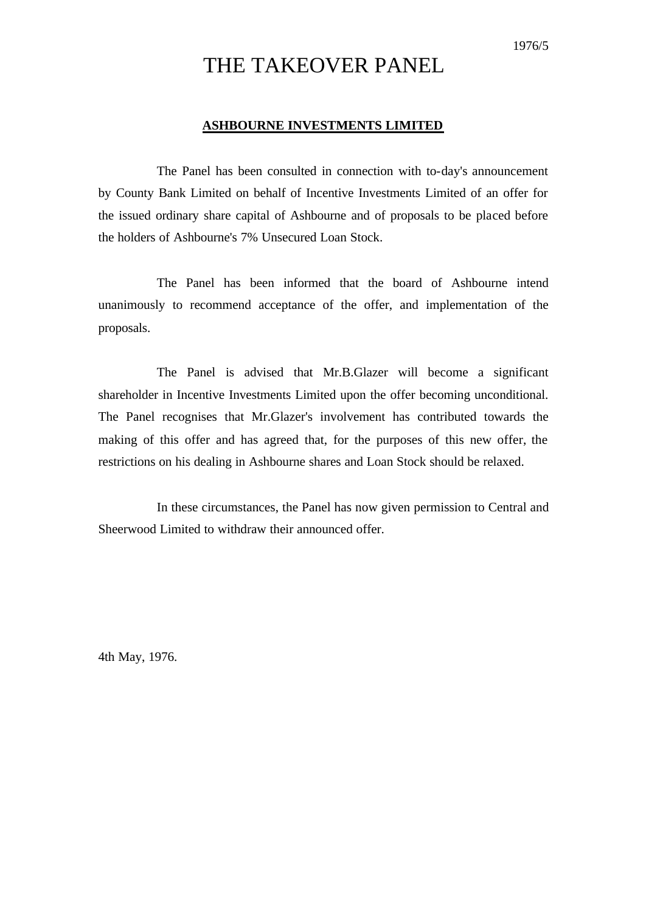## THE TAKEOVER PANEL

#### **ASHBOURNE INVESTMENTS LIMITED**

The Panel has been consulted in connection with to-day's announcement by County Bank Limited on behalf of Incentive Investments Limited of an offer for the issued ordinary share capital of Ashbourne and of proposals to be placed before the holders of Ashbourne's 7% Unsecured Loan Stock.

The Panel has been informed that the board of Ashbourne intend unanimously to recommend acceptance of the offer, and implementation of the proposals.

The Panel is advised that Mr.B.Glazer will become a significant shareholder in Incentive Investments Limited upon the offer becoming unconditional. The Panel recognises that Mr.Glazer's involvement has contributed towards the making of this offer and has agreed that, for the purposes of this new offer, the restrictions on his dealing in Ashbourne shares and Loan Stock should be relaxed.

In these circumstances, the Panel has now given permission to Central and Sheerwood Limited to withdraw their announced offer.

4th May, 1976.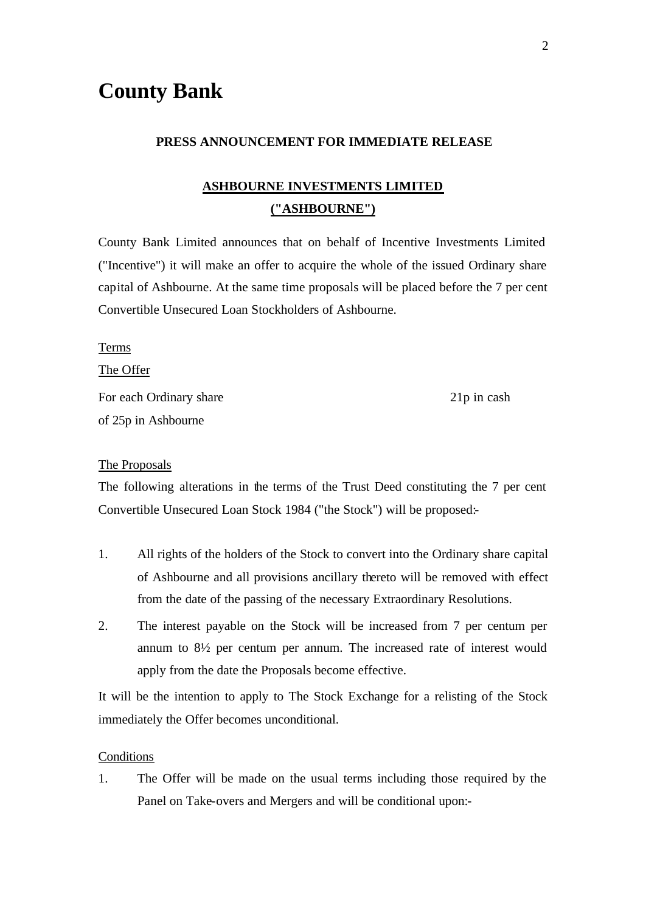# **County Bank**

#### **PRESS ANNOUNCEMENT FOR IMMEDIATE RELEASE**

### **ASHBOURNE INVESTMENTS LIMITED ("ASHBOURNE")**

County Bank Limited announces that on behalf of Incentive Investments Limited ("Incentive") it will make an offer to acquire the whole of the issued Ordinary share capital of Ashbourne. At the same time proposals will be placed before the 7 per cent Convertible Unsecured Loan Stockholders of Ashbourne.

Terms The Offer

For each Ordinary share 21p in cash of 25p in Ashbourne

#### The Proposals

The following alterations in the terms of the Trust Deed constituting the 7 per cent Convertible Unsecured Loan Stock 1984 ("the Stock") will be proposed:-

- 1. All rights of the holders of the Stock to convert into the Ordinary share capital of Ashbourne and all provisions ancillary thereto will be removed with effect from the date of the passing of the necessary Extraordinary Resolutions.
- 2. The interest payable on the Stock will be increased from 7 per centum per annum to 8½ per centum per annum. The increased rate of interest would apply from the date the Proposals become effective.

It will be the intention to apply to The Stock Exchange for a relisting of the Stock immediately the Offer becomes unconditional.

#### **Conditions**

1. The Offer will be made on the usual terms including those required by the Panel on Take-overs and Mergers and will be conditional upon:-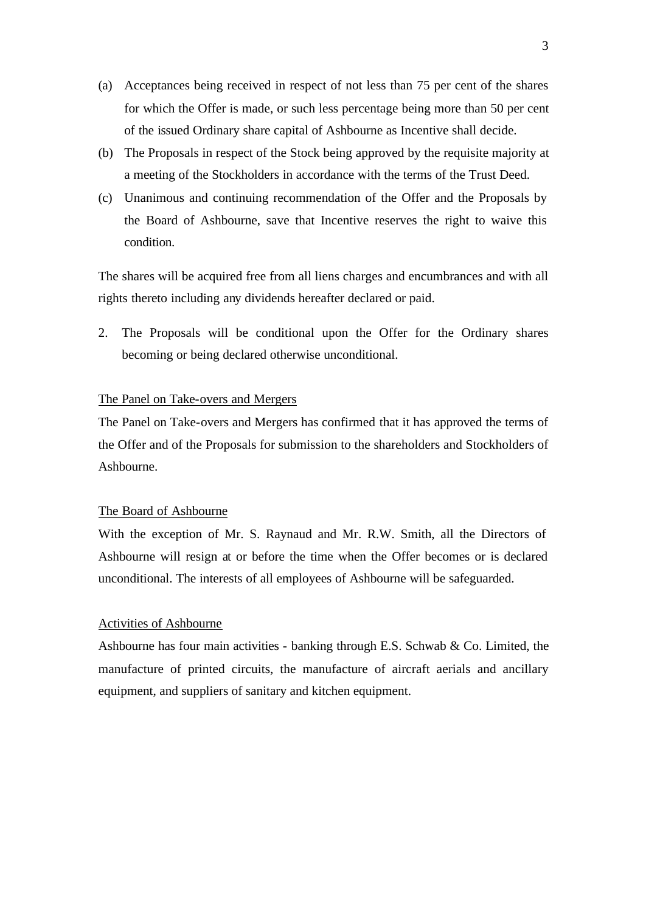- (a) Acceptances being received in respect of not less than 75 per cent of the shares for which the Offer is made, or such less percentage being more than 50 per cent of the issued Ordinary share capital of Ashbourne as Incentive shall decide.
- (b) The Proposals in respect of the Stock being approved by the requisite majority at a meeting of the Stockholders in accordance with the terms of the Trust Deed.
- (c) Unanimous and continuing recommendation of the Offer and the Proposals by the Board of Ashbourne, save that Incentive reserves the right to waive this condition.

The shares will be acquired free from all liens charges and encumbrances and with all rights thereto including any dividends hereafter declared or paid.

2. The Proposals will be conditional upon the Offer for the Ordinary shares becoming or being declared otherwise unconditional.

#### The Panel on Take-overs and Mergers

The Panel on Take-overs and Mergers has confirmed that it has approved the terms of the Offer and of the Proposals for submission to the shareholders and Stockholders of Ashbourne.

#### The Board of Ashbourne

With the exception of Mr. S. Raynaud and Mr. R.W. Smith, all the Directors of Ashbourne will resign at or before the time when the Offer becomes or is declared unconditional. The interests of all employees of Ashbourne will be safeguarded.

#### Activities of Ashbourne

Ashbourne has four main activities - banking through E.S. Schwab & Co. Limited, the manufacture of printed circuits, the manufacture of aircraft aerials and ancillary equipment, and suppliers of sanitary and kitchen equipment.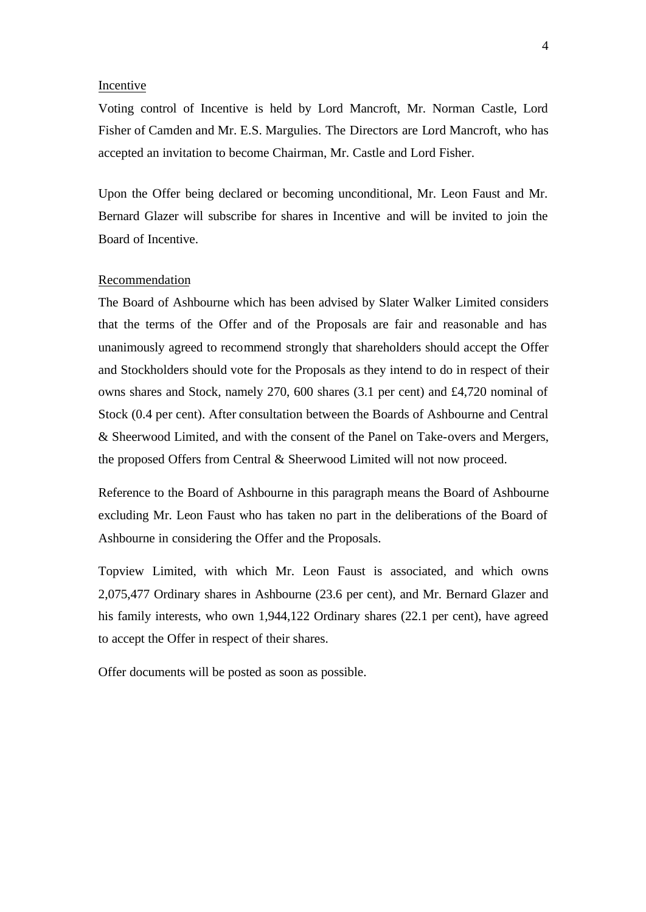#### Incentive

Voting control of Incentive is held by Lord Mancroft, Mr. Norman Castle, Lord Fisher of Camden and Mr. E.S. Margulies. The Directors are Lord Mancroft, who has accepted an invitation to become Chairman, Mr. Castle and Lord Fisher.

Upon the Offer being declared or becoming unconditional, Mr. Leon Faust and Mr. Bernard Glazer will subscribe for shares in Incentive and will be invited to join the Board of Incentive.

#### Recommendation

The Board of Ashbourne which has been advised by Slater Walker Limited considers that the terms of the Offer and of the Proposals are fair and reasonable and has unanimously agreed to recommend strongly that shareholders should accept the Offer and Stockholders should vote for the Proposals as they intend to do in respect of their owns shares and Stock, namely 270, 600 shares (3.1 per cent) and £4,720 nominal of Stock (0.4 per cent). After consultation between the Boards of Ashbourne and Central & Sheerwood Limited, and with the consent of the Panel on Take-overs and Mergers, the proposed Offers from Central & Sheerwood Limited will not now proceed.

Reference to the Board of Ashbourne in this paragraph means the Board of Ashbourne excluding Mr. Leon Faust who has taken no part in the deliberations of the Board of Ashbourne in considering the Offer and the Proposals.

Topview Limited, with which Mr. Leon Faust is associated, and which owns 2,075,477 Ordinary shares in Ashbourne (23.6 per cent), and Mr. Bernard Glazer and his family interests, who own 1,944,122 Ordinary shares (22.1 per cent), have agreed to accept the Offer in respect of their shares.

Offer documents will be posted as soon as possible.